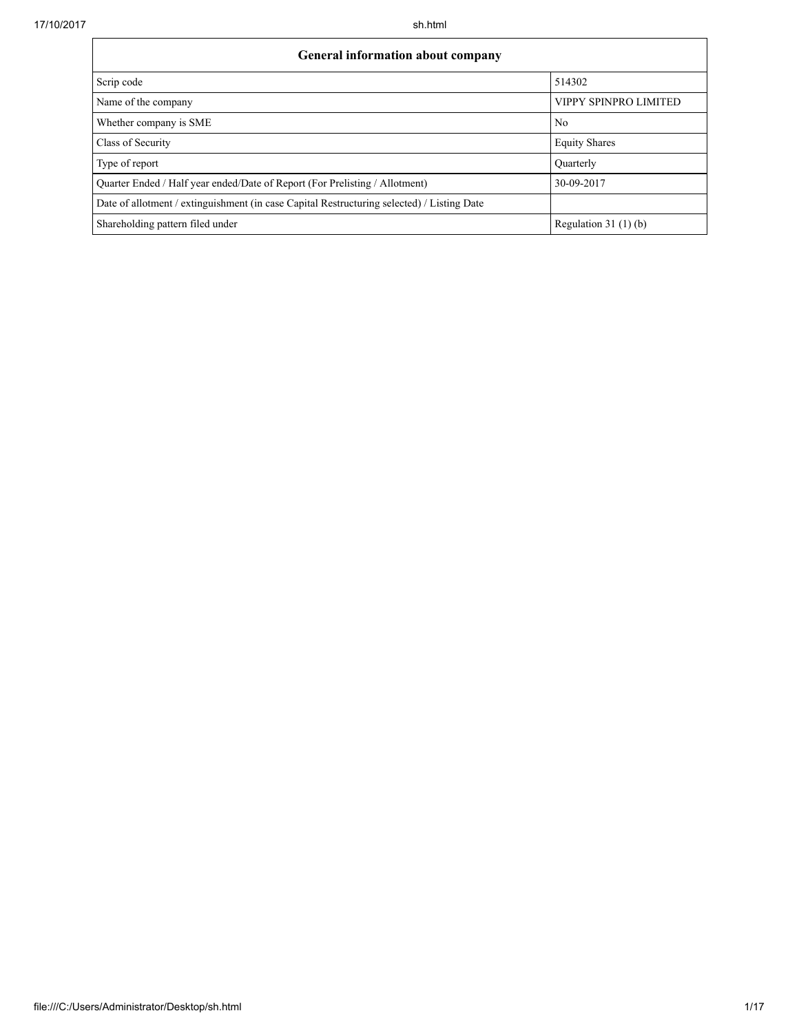| <b>General information about company</b>                                                   |                       |  |  |  |
|--------------------------------------------------------------------------------------------|-----------------------|--|--|--|
| Scrip code                                                                                 | 514302                |  |  |  |
| Name of the company                                                                        | VIPPY SPINPRO LIMITED |  |  |  |
| Whether company is SME                                                                     | N <sub>0</sub>        |  |  |  |
| Class of Security                                                                          | <b>Equity Shares</b>  |  |  |  |
| Type of report                                                                             | Quarterly             |  |  |  |
| Quarter Ended / Half year ended/Date of Report (For Prelisting / Allotment)                | 30-09-2017            |  |  |  |
| Date of allotment / extinguishment (in case Capital Restructuring selected) / Listing Date |                       |  |  |  |
| Shareholding pattern filed under                                                           | Regulation $31(1)(b)$ |  |  |  |

٦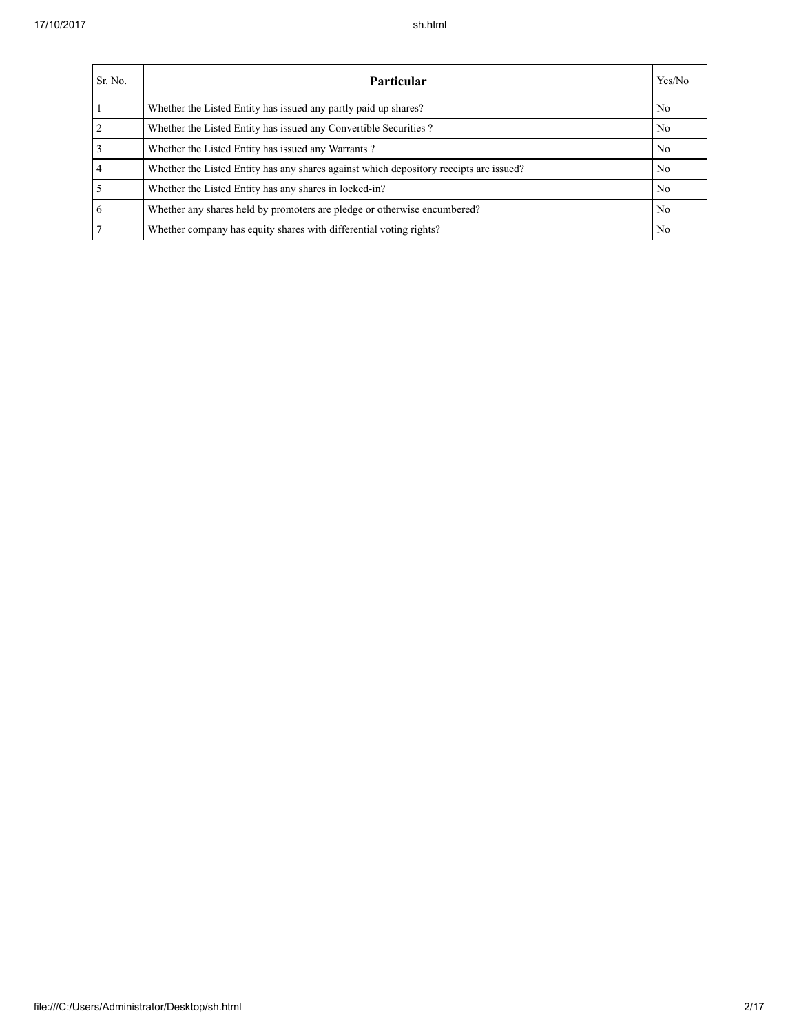| Sr. No.        | Particular                                                                             | Yes/No         |
|----------------|----------------------------------------------------------------------------------------|----------------|
|                | Whether the Listed Entity has issued any partly paid up shares?                        | N <sub>0</sub> |
| 2              | Whether the Listed Entity has issued any Convertible Securities?                       | N <sub>0</sub> |
| $\overline{3}$ | Whether the Listed Entity has issued any Warrants?                                     | N <sub>0</sub> |
| $\overline{4}$ | Whether the Listed Entity has any shares against which depository receipts are issued? | N <sub>0</sub> |
| 5              | Whether the Listed Entity has any shares in locked-in?                                 | N <sub>0</sub> |
| 6              | Whether any shares held by promoters are pledge or otherwise encumbered?               | N <sub>0</sub> |
| $\overline{7}$ | Whether company has equity shares with differential voting rights?                     | N <sub>0</sub> |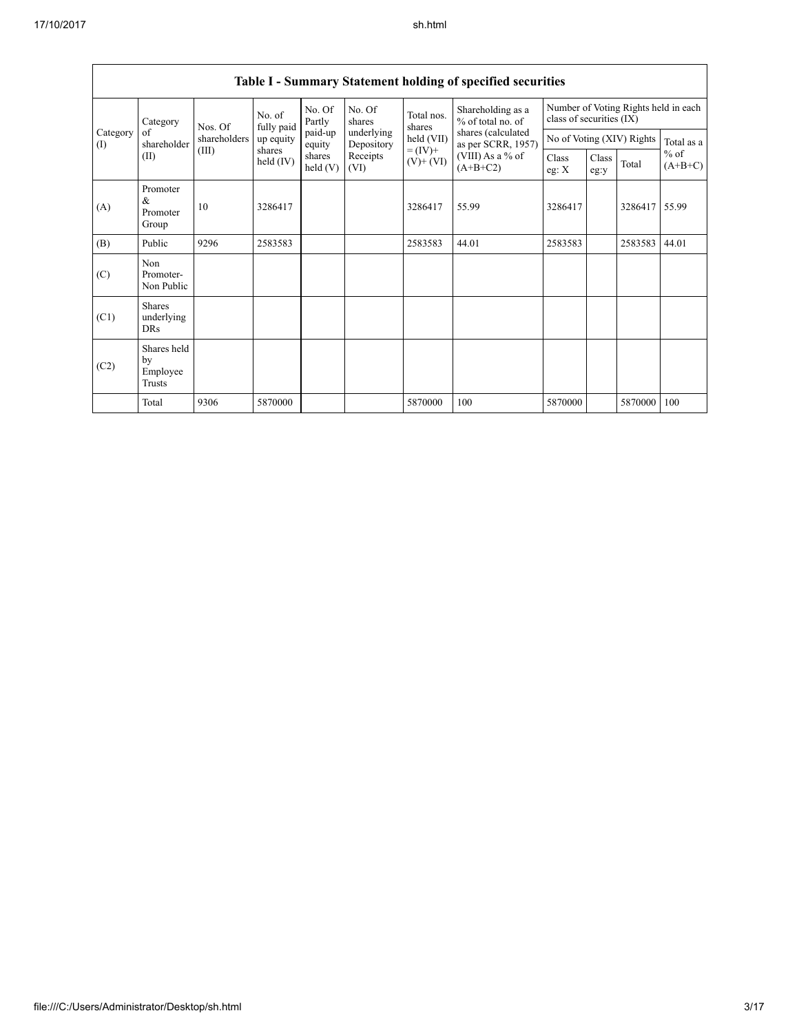| Category        |                                                                                                           | Nos. Of                          | No. of<br>fully paid | No. Of<br>Partly  | No. Of<br>shares         | Total nos.<br>shares | Shareholding as a<br>% of total no. of   | Number of Voting Rights held in each<br>class of securities (IX) |  |               |            |
|-----------------|-----------------------------------------------------------------------------------------------------------|----------------------------------|----------------------|-------------------|--------------------------|----------------------|------------------------------------------|------------------------------------------------------------------|--|---------------|------------|
| Category<br>(I) | of<br>shareholder                                                                                         | shareholders                     | up equity            | paid-up<br>equity | underlying<br>Depository | held (VII)           | shares (calculated<br>as per SCRR, 1957) | No of Voting (XIV) Rights                                        |  |               | Total as a |
|                 | $= (IV) +$<br>(III)<br>shares<br>Receipts<br>shares<br>(II)<br>held (IV)<br>$(V)+(VI)$<br>held(V)<br>(VI) | (VIII) As a $%$ of<br>$(A+B+C2)$ |                      | Class<br>eg:y     | Total                    | $%$ of<br>$(A+B+C)$  |                                          |                                                                  |  |               |            |
| (A)             | Promoter<br>&<br>Promoter<br>Group                                                                        | 10                               | 3286417              |                   |                          | 3286417              | 55.99                                    | 3286417                                                          |  | 3286417 55.99 |            |
| (B)             | Public                                                                                                    | 9296                             | 2583583              |                   |                          | 2583583              | 44.01                                    | 2583583                                                          |  | 2583583       | 44.01      |
| (C)             | Non<br>Promoter-<br>Non Public                                                                            |                                  |                      |                   |                          |                      |                                          |                                                                  |  |               |            |
| (C1)            | <b>Shares</b><br>underlying<br><b>DRs</b>                                                                 |                                  |                      |                   |                          |                      |                                          |                                                                  |  |               |            |
| (C2)            | Shares held<br>by<br>Employee<br>Trusts                                                                   |                                  |                      |                   |                          |                      |                                          |                                                                  |  |               |            |
|                 | Total                                                                                                     | 9306                             | 5870000              |                   |                          | 5870000              | 100                                      | 5870000                                                          |  | 5870000       | 100        |

## Table I - Summary Statement holding of specified securities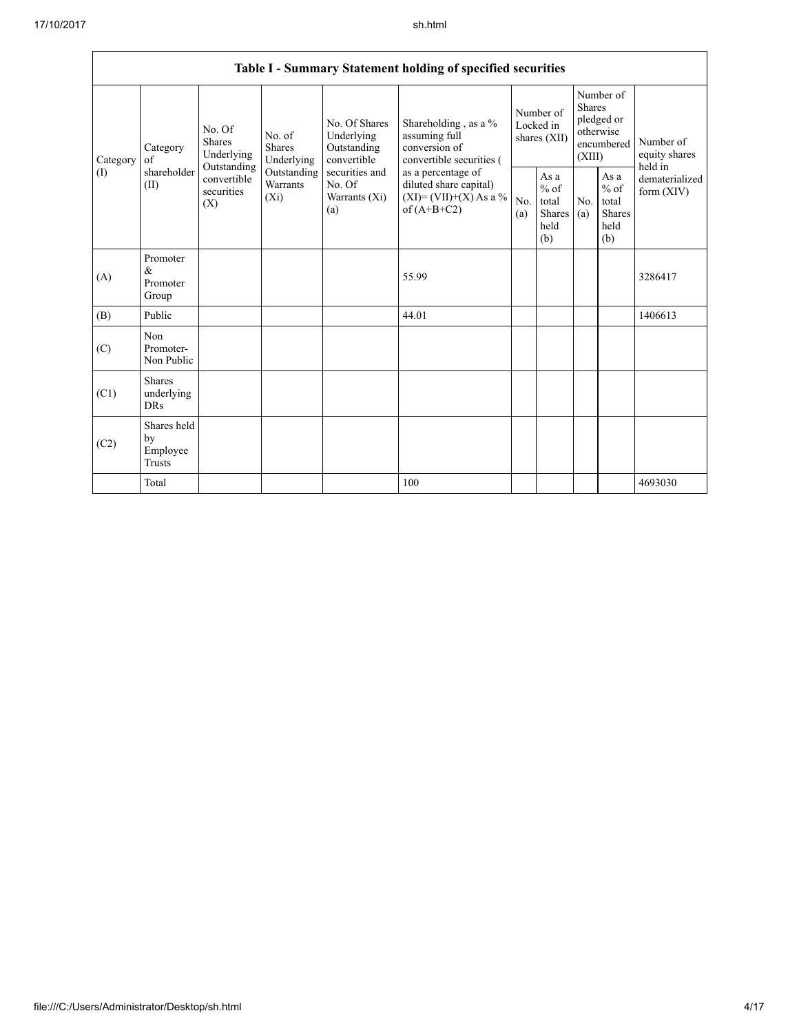Г

|          |                                                                                                                                                                                                                                                                                                                                          |                                                                                            |            | Table I - Summary Statement holding of specified securities                        |                                        |                                                         |                                                                               |  |                                       |
|----------|------------------------------------------------------------------------------------------------------------------------------------------------------------------------------------------------------------------------------------------------------------------------------------------------------------------------------------------|--------------------------------------------------------------------------------------------|------------|------------------------------------------------------------------------------------|----------------------------------------|---------------------------------------------------------|-------------------------------------------------------------------------------|--|---------------------------------------|
| Category | No. Of Shares<br>No. Of<br>Underlying<br>No. of<br><b>Shares</b><br>Category<br><b>Shares</b><br>Outstanding<br>Underlying<br>Underlying<br>convertible<br>of<br>Outstanding<br>shareholder<br>securities and<br>Outstanding<br>convertible<br><b>Warrants</b><br>No. Of<br>(II)<br>securities<br>$(X_i)$<br>Warrants (Xi)<br>(X)<br>(a) |                                                                                            |            | Shareholding, as a %<br>assuming full<br>conversion of<br>convertible securities ( | Number of<br>Locked in<br>shares (XII) |                                                         | Number of<br><b>Shares</b><br>pledged or<br>otherwise<br>encumbered<br>(XIII) |  | Number of<br>equity shares<br>held in |
| (I)      |                                                                                                                                                                                                                                                                                                                                          | as a percentage of<br>diluted share capital)<br>$(XI) = (VII)+(X) As a %$<br>of $(A+B+C2)$ | No.<br>(a) | As a<br>$%$ of<br>total<br><b>Shares</b><br>held<br>(b)                            | N <sub>0</sub><br>(a)                  | As a<br>$%$ of<br>total<br><b>Shares</b><br>held<br>(b) | dematerialized<br>form (XIV)                                                  |  |                                       |
| (A)      | Promoter<br>$\&$<br>Promoter<br>Group                                                                                                                                                                                                                                                                                                    |                                                                                            |            | 55.99                                                                              |                                        |                                                         |                                                                               |  | 3286417                               |
| (B)      | Public                                                                                                                                                                                                                                                                                                                                   |                                                                                            |            | 44.01                                                                              |                                        |                                                         |                                                                               |  | 1406613                               |
| (C)      | Non<br>Promoter-<br>Non Public                                                                                                                                                                                                                                                                                                           |                                                                                            |            |                                                                                    |                                        |                                                         |                                                                               |  |                                       |
| (C1)     | <b>Shares</b><br>underlying<br><b>DRs</b>                                                                                                                                                                                                                                                                                                |                                                                                            |            |                                                                                    |                                        |                                                         |                                                                               |  |                                       |
| (C2)     | Shares held<br>by<br>Employee<br>Trusts                                                                                                                                                                                                                                                                                                  |                                                                                            |            |                                                                                    |                                        |                                                         |                                                                               |  |                                       |
|          | Total                                                                                                                                                                                                                                                                                                                                    |                                                                                            |            | 100                                                                                |                                        |                                                         |                                                                               |  | 4693030                               |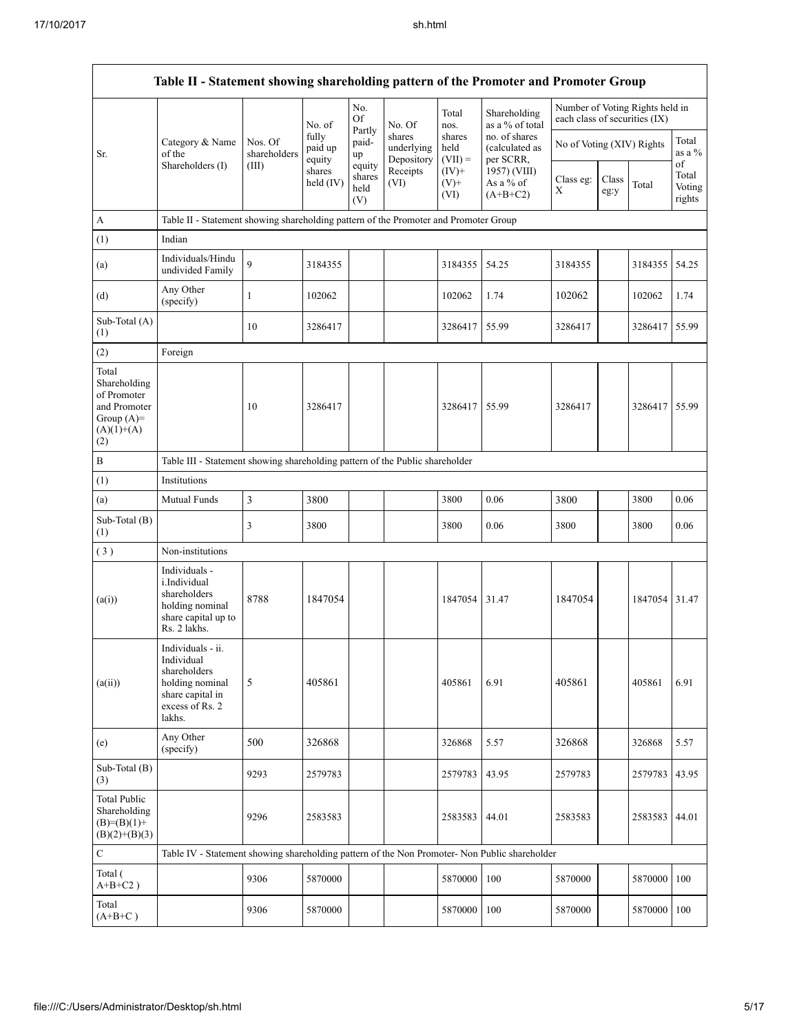|                                                                                             | Table II - Statement showing shareholding pattern of the Promoter and Promoter Group                                |                         |                            |                                 |                                    |                             |                                              |                               |               |                                 |                                 |
|---------------------------------------------------------------------------------------------|---------------------------------------------------------------------------------------------------------------------|-------------------------|----------------------------|---------------------------------|------------------------------------|-----------------------------|----------------------------------------------|-------------------------------|---------------|---------------------------------|---------------------------------|
|                                                                                             |                                                                                                                     |                         | No. of                     | No.<br>Of                       | No. Of                             | Total<br>nos.               | Shareholding<br>as a % of total              | each class of securities (IX) |               | Number of Voting Rights held in |                                 |
| Sr.                                                                                         | Category & Name<br>of the                                                                                           | Nos. Of<br>shareholders | fully<br>paid up<br>equity | Partly<br>paid-<br>up           | shares<br>underlying<br>Depository | shares<br>held<br>$(VII) =$ | no. of shares<br>(calculated as<br>per SCRR, | No of Voting (XIV) Rights     |               |                                 | Total<br>as a %                 |
|                                                                                             | Shareholders (I)                                                                                                    | (III)                   | shares<br>held $(IV)$      | equity<br>shares<br>held<br>(V) | Receipts<br>(VI)                   | $(IV)$ +<br>$(V)$ +<br>(VI) | 1957) (VIII)<br>As a % of<br>$(A+B+C2)$      | Class eg:<br>X                | Class<br>eg:y | Total                           | of<br>Total<br>Voting<br>rights |
| $\boldsymbol{A}$                                                                            | Table II - Statement showing shareholding pattern of the Promoter and Promoter Group                                |                         |                            |                                 |                                    |                             |                                              |                               |               |                                 |                                 |
| (1)                                                                                         | Indian                                                                                                              |                         |                            |                                 |                                    |                             |                                              |                               |               |                                 |                                 |
| (a)                                                                                         | Individuals/Hindu<br>undivided Family                                                                               | 9                       | 3184355                    |                                 |                                    | 3184355                     | 54.25                                        | 3184355                       |               | 3184355                         | 54.25                           |
| (d)                                                                                         | Any Other<br>(specify)                                                                                              | 1                       | 102062                     |                                 |                                    | 102062                      | 1.74                                         | 102062                        |               | 102062                          | 1.74                            |
| Sub-Total (A)<br>(1)                                                                        |                                                                                                                     | 10                      | 3286417                    |                                 |                                    | 3286417                     | 55.99                                        | 3286417                       |               | 3286417 55.99                   |                                 |
| (2)                                                                                         | Foreign                                                                                                             |                         |                            |                                 |                                    |                             |                                              |                               |               |                                 |                                 |
| Total<br>Shareholding<br>of Promoter<br>and Promoter<br>Group $(A)=$<br>$(A)(1)+(A)$<br>(2) |                                                                                                                     | 10                      | 3286417                    |                                 |                                    | 3286417                     | 55.99                                        | 3286417                       |               | 3286417 55.99                   |                                 |
| $\, {\bf B}$                                                                                | Table III - Statement showing shareholding pattern of the Public shareholder                                        |                         |                            |                                 |                                    |                             |                                              |                               |               |                                 |                                 |
| (1)                                                                                         | Institutions                                                                                                        |                         |                            |                                 |                                    |                             |                                              |                               |               |                                 |                                 |
| (a)                                                                                         | Mutual Funds                                                                                                        | 3                       | 3800                       |                                 |                                    | 3800                        | 0.06                                         | 3800                          |               | 3800                            | 0.06                            |
| Sub-Total (B)<br>(1)                                                                        |                                                                                                                     | 3                       | 3800                       |                                 |                                    | 3800                        | 0.06                                         | 3800                          |               | 3800                            | 0.06                            |
| (3)                                                                                         | Non-institutions                                                                                                    |                         |                            |                                 |                                    |                             |                                              |                               |               |                                 |                                 |
| (a(i))                                                                                      | Individuals -<br>i.Individual<br>shareholders<br>holding nominal<br>share capital up to<br>Rs. 2 lakhs.             | 8788                    | 1847054                    |                                 |                                    | 1847054                     | 31.47                                        | 1847054                       |               | 1847054                         | 31.47                           |
| (a(ii))                                                                                     | Individuals - ii.<br>Individual<br>shareholders<br>holding nominal<br>share capital in<br>excess of Rs. 2<br>lakhs. | 5                       | 405861                     |                                 |                                    | 405861                      | 6.91                                         | 405861                        |               | 405861                          | 6.91                            |
| (e)                                                                                         | Any Other<br>(specify)                                                                                              | 500                     | 326868                     |                                 |                                    | 326868                      | 5.57                                         | 326868                        |               | 326868                          | 5.57                            |
| Sub-Total (B)<br>(3)                                                                        |                                                                                                                     | 9293                    | 2579783                    |                                 |                                    | 2579783                     | 43.95                                        | 2579783                       |               | 2579783                         | 43.95                           |
| <b>Total Public</b><br>Shareholding<br>$(B)=(B)(1)+$<br>$(B)(2)+(B)(3)$                     |                                                                                                                     | 9296                    | 2583583                    |                                 |                                    | 2583583                     | 44.01                                        | 2583583                       |               | 2583583                         | 44.01                           |
| $\mathbf C$                                                                                 | Table IV - Statement showing shareholding pattern of the Non Promoter- Non Public shareholder                       |                         |                            |                                 |                                    |                             |                                              |                               |               |                                 |                                 |
| Total (<br>$A+B+C2$ )                                                                       |                                                                                                                     | 9306                    | 5870000                    |                                 |                                    | 5870000                     | 100                                          | 5870000                       |               | 5870000 100                     |                                 |
| Total<br>$(A+B+C)$                                                                          |                                                                                                                     | 9306                    | 5870000                    |                                 |                                    | 5870000                     | 100                                          | 5870000                       |               | 5870000 100                     |                                 |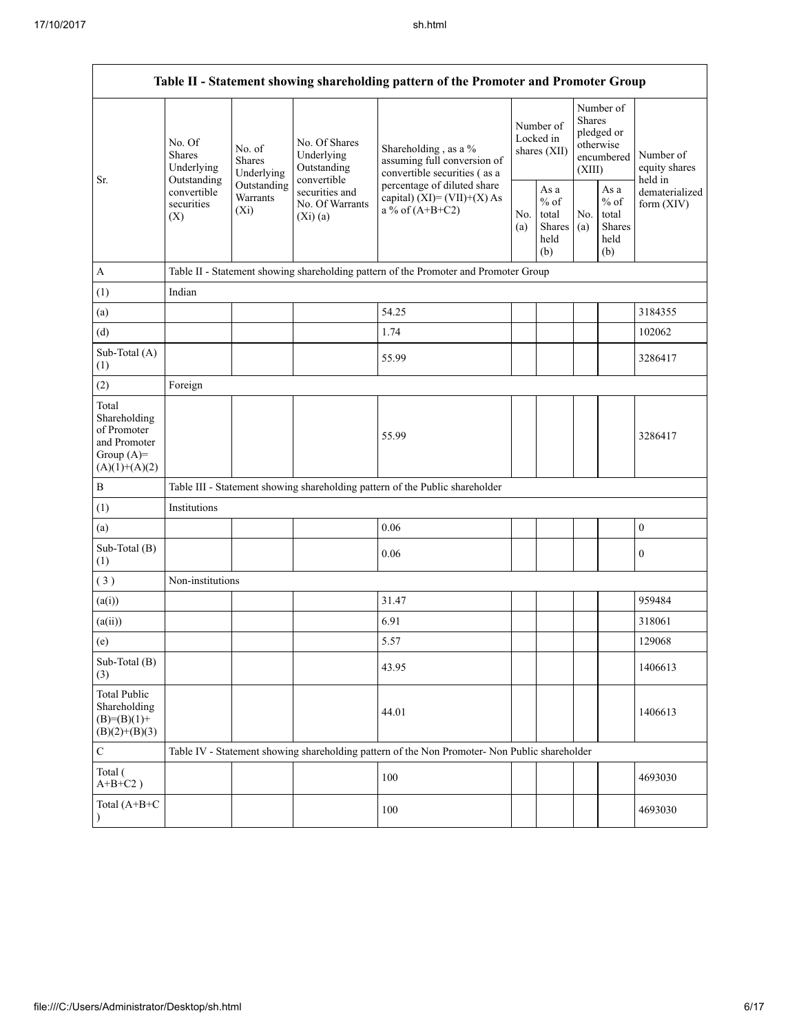| Table II - Statement showing shareholding pattern of the Promoter and Promoter Group    |                                                 |                                       |                                                             |                                                                                                                                                                           |  |                                                  |            |                                                                        |                                       |
|-----------------------------------------------------------------------------------------|-------------------------------------------------|---------------------------------------|-------------------------------------------------------------|---------------------------------------------------------------------------------------------------------------------------------------------------------------------------|--|--------------------------------------------------|------------|------------------------------------------------------------------------|---------------------------------------|
| Sr.                                                                                     | No. Of<br><b>Shares</b><br>Underlying           | No. of<br><b>Shares</b><br>Underlying | No. Of Shares<br>Underlying<br>Outstanding                  | Shareholding, as a %<br>assuming full conversion of<br>convertible securities (as a<br>percentage of diluted share<br>capital) $(XI) = (VII)+(X) As$<br>a % of $(A+B+C2)$ |  | Number of<br>Locked in<br>shares (XII)           |            | Number of<br>Shares<br>pledged or<br>otherwise<br>encumbered<br>(XIII) | Number of<br>equity shares<br>held in |
|                                                                                         | Outstanding<br>convertible<br>securities<br>(X) | Outstanding<br>Warrants<br>$(X_i)$    | convertible<br>securities and<br>No. Of Warrants<br>(Xi)(a) |                                                                                                                                                                           |  | As a<br>$%$ of<br>total<br>Shares<br>held<br>(b) | No.<br>(a) | As a<br>$%$ of<br>total<br><b>Shares</b><br>held<br>(b)                | dematerialized<br>form $(XIV)$        |
| $\boldsymbol{A}$                                                                        |                                                 |                                       |                                                             | Table II - Statement showing shareholding pattern of the Promoter and Promoter Group                                                                                      |  |                                                  |            |                                                                        |                                       |
| (1)                                                                                     | Indian                                          |                                       |                                                             |                                                                                                                                                                           |  |                                                  |            |                                                                        |                                       |
| (a)                                                                                     |                                                 |                                       |                                                             | 54.25                                                                                                                                                                     |  |                                                  |            |                                                                        | 3184355                               |
| (d)                                                                                     |                                                 |                                       |                                                             | 1.74                                                                                                                                                                      |  |                                                  |            |                                                                        | 102062                                |
| Sub-Total (A)<br>(1)                                                                    |                                                 |                                       |                                                             | 55.99                                                                                                                                                                     |  |                                                  |            |                                                                        | 3286417                               |
| (2)                                                                                     | Foreign                                         |                                       |                                                             |                                                                                                                                                                           |  |                                                  |            |                                                                        |                                       |
| Total<br>Shareholding<br>of Promoter<br>and Promoter<br>Group $(A)=$<br>$(A)(1)+(A)(2)$ |                                                 |                                       |                                                             | 55.99                                                                                                                                                                     |  |                                                  |            |                                                                        | 3286417                               |
| $\, {\bf B}$                                                                            |                                                 |                                       |                                                             | Table III - Statement showing shareholding pattern of the Public shareholder                                                                                              |  |                                                  |            |                                                                        |                                       |
| (1)                                                                                     | Institutions                                    |                                       |                                                             |                                                                                                                                                                           |  |                                                  |            |                                                                        |                                       |
| (a)                                                                                     |                                                 |                                       |                                                             | 0.06                                                                                                                                                                      |  |                                                  |            |                                                                        | $\boldsymbol{0}$                      |
| Sub-Total (B)<br>(1)                                                                    |                                                 |                                       |                                                             | 0.06                                                                                                                                                                      |  |                                                  |            |                                                                        | $\boldsymbol{0}$                      |
| (3)                                                                                     | Non-institutions                                |                                       |                                                             |                                                                                                                                                                           |  |                                                  |            |                                                                        |                                       |
| (a(i))                                                                                  |                                                 |                                       |                                                             | 31.47                                                                                                                                                                     |  |                                                  |            |                                                                        | 959484                                |
| (a(ii))                                                                                 |                                                 |                                       |                                                             | 6.91                                                                                                                                                                      |  |                                                  |            |                                                                        | 318061                                |
| (e)                                                                                     |                                                 |                                       |                                                             | 5.57                                                                                                                                                                      |  |                                                  |            |                                                                        | 129068                                |
| Sub-Total (B)<br>(3)                                                                    |                                                 |                                       |                                                             | 43.95                                                                                                                                                                     |  |                                                  |            |                                                                        | 1406613                               |
| <b>Total Public</b><br>Shareholding<br>$(B)= (B)(1) +$<br>$(B)(2)+(B)(3)$               |                                                 |                                       |                                                             | 44.01                                                                                                                                                                     |  |                                                  |            |                                                                        | 1406613                               |
| $\mathbf C$                                                                             |                                                 |                                       |                                                             | Table IV - Statement showing shareholding pattern of the Non Promoter- Non Public shareholder                                                                             |  |                                                  |            |                                                                        |                                       |
| Total (<br>$A+B+C2$ )                                                                   |                                                 |                                       |                                                             | 100                                                                                                                                                                       |  |                                                  |            |                                                                        | 4693030                               |
| Total (A+B+C<br>$\lambda$                                                               |                                                 |                                       |                                                             | 100                                                                                                                                                                       |  |                                                  |            |                                                                        | 4693030                               |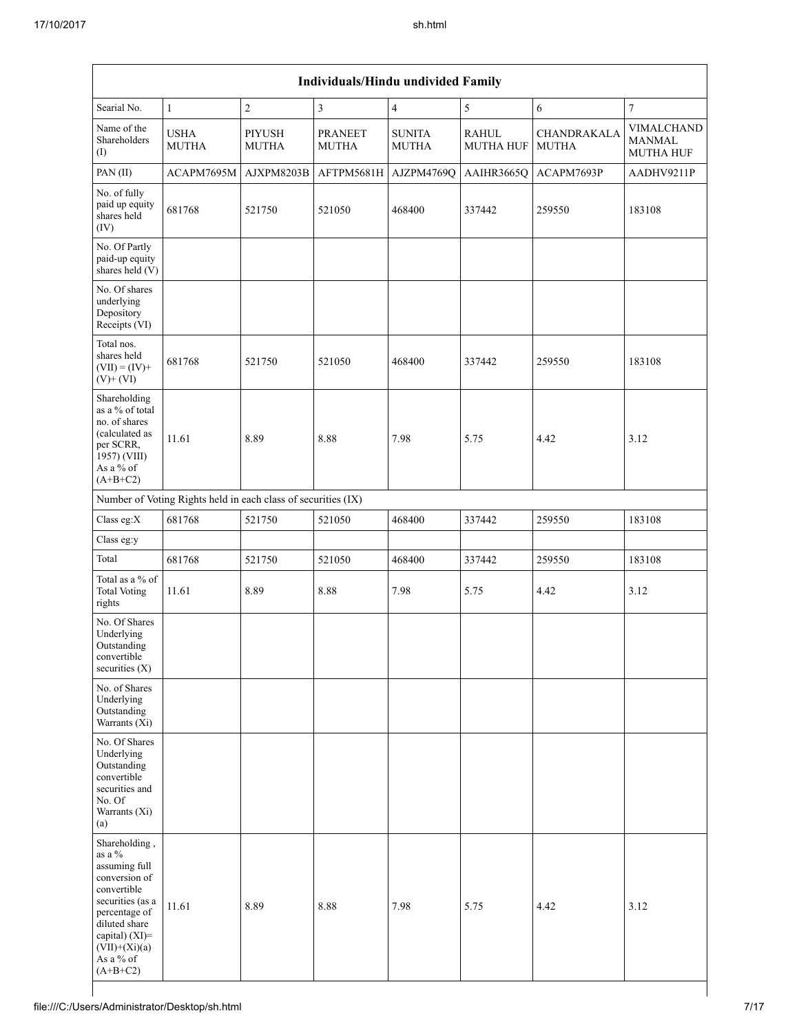| Individuals/Hindu undivided Family                                                                                                                                                                |                                                               |                               |                                |                               |                                  |                             |                                                 |
|---------------------------------------------------------------------------------------------------------------------------------------------------------------------------------------------------|---------------------------------------------------------------|-------------------------------|--------------------------------|-------------------------------|----------------------------------|-----------------------------|-------------------------------------------------|
| Searial No.                                                                                                                                                                                       | $\mathbf{1}$                                                  | $\overline{\mathbf{c}}$       | $\overline{\mathbf{3}}$        | $\sqrt{4}$                    | $\sqrt{5}$                       | $\sqrt{6}$                  | 7                                               |
| Name of the<br>Shareholders<br>(I)                                                                                                                                                                | <b>USHA</b><br><b>MUTHA</b>                                   | <b>PIYUSH</b><br><b>MUTHA</b> | <b>PRANEET</b><br><b>MUTHA</b> | <b>SUNITA</b><br><b>MUTHA</b> | <b>RAHUL</b><br><b>MUTHA HUF</b> | CHANDRAKALA<br><b>MUTHA</b> | VIMALCHAND<br><b>MANMAL</b><br><b>MUTHA HUF</b> |
| PAN(II)                                                                                                                                                                                           | ACAPM7695M                                                    | AJXPM8203B                    | AFTPM5681H                     | AJZPM4769Q                    | AAIHR3665Q                       | ACAPM7693P                  | AADHV9211P                                      |
| No. of fully<br>paid up equity<br>shares held<br>(IV)                                                                                                                                             | 681768                                                        | 521750                        | 521050                         | 468400                        | 337442                           | 259550                      | 183108                                          |
| No. Of Partly<br>paid-up equity<br>shares held (V)                                                                                                                                                |                                                               |                               |                                |                               |                                  |                             |                                                 |
| No. Of shares<br>underlying<br>Depository<br>Receipts (VI)                                                                                                                                        |                                                               |                               |                                |                               |                                  |                             |                                                 |
| Total nos.<br>shares held<br>$(VII) = (IV) +$<br>$(V)+(VI)$                                                                                                                                       | 681768                                                        | 521750                        | 521050                         | 468400                        | 337442                           | 259550                      | 183108                                          |
| Shareholding<br>as a % of total<br>no. of shares<br>(calculated as<br>per SCRR,<br>1957) (VIII)<br>As a % of<br>$(A+B+C2)$                                                                        | 11.61                                                         | 8.89                          | 8.88                           | 7.98                          | 5.75                             | 4.42                        | 3.12                                            |
|                                                                                                                                                                                                   | Number of Voting Rights held in each class of securities (IX) |                               |                                |                               |                                  |                             |                                                 |
| Class eg:X                                                                                                                                                                                        | 681768                                                        | 521750                        | 521050                         | 468400                        | 337442                           | 259550                      | 183108                                          |
| Class eg:y                                                                                                                                                                                        |                                                               |                               |                                |                               |                                  |                             |                                                 |
| Total                                                                                                                                                                                             | 681768                                                        | 521750                        | 521050                         | 468400                        | 337442                           | 259550                      | 183108                                          |
| Total as a % of<br><b>Total Voting</b><br>rights                                                                                                                                                  | 11.61                                                         | 8.89                          | 8.88                           | 7.98                          | 5.75                             | 4.42                        | 3.12                                            |
| No. Of Shares<br>Underlying<br>Outstanding<br>convertible<br>securities $(X)$                                                                                                                     |                                                               |                               |                                |                               |                                  |                             |                                                 |
| No. of Shares<br>Underlying<br>Outstanding<br>Warrants (Xi)                                                                                                                                       |                                                               |                               |                                |                               |                                  |                             |                                                 |
| No. Of Shares<br>Underlying<br>Outstanding<br>convertible<br>securities and<br>No. Of<br>Warrants (Xi)<br>(a)                                                                                     |                                                               |                               |                                |                               |                                  |                             |                                                 |
| Shareholding,<br>as a %<br>assuming full<br>conversion of<br>convertible<br>securities (as a<br>percentage of<br>diluted share<br>capital) $(XI)$ =<br>$(VII)+(Xi)(a)$<br>As a % of<br>$(A+B+C2)$ | 11.61                                                         | 8.89                          | 8.88                           | 7.98                          | 5.75                             | 4.42                        | 3.12                                            |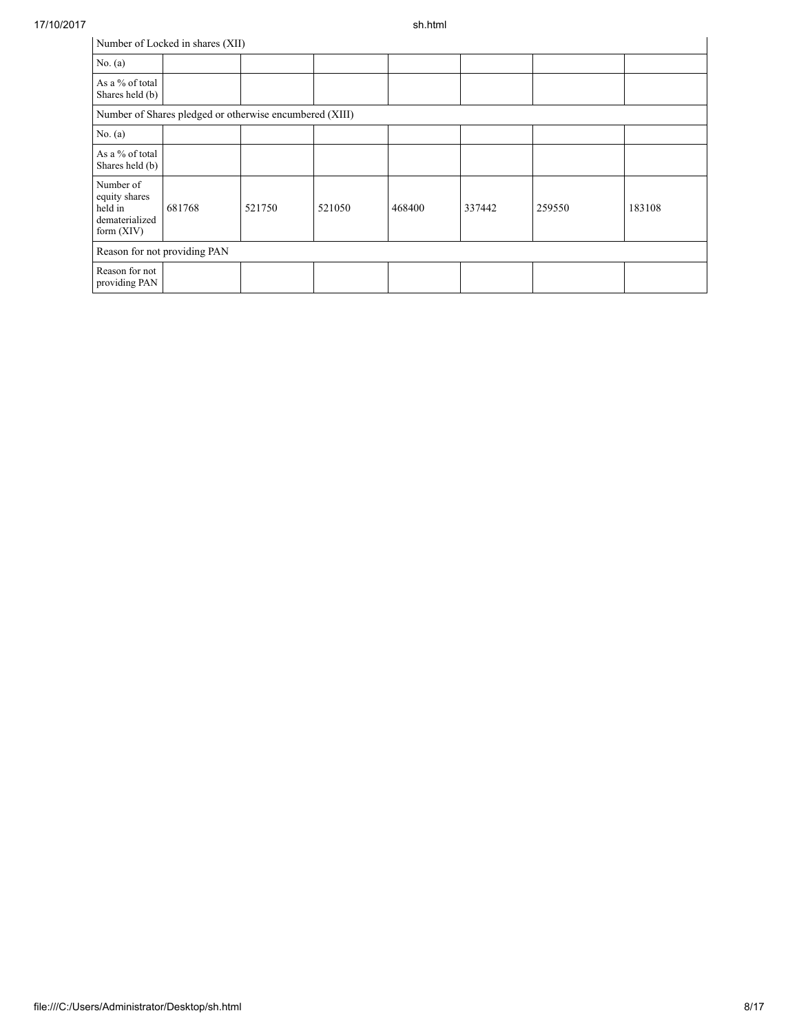J.

| Number of Locked in shares (XII)                                        |                                                         |        |        |        |        |        |        |
|-------------------------------------------------------------------------|---------------------------------------------------------|--------|--------|--------|--------|--------|--------|
| No. $(a)$                                                               |                                                         |        |        |        |        |        |        |
| As a % of total<br>Shares held (b)                                      |                                                         |        |        |        |        |        |        |
|                                                                         | Number of Shares pledged or otherwise encumbered (XIII) |        |        |        |        |        |        |
| No. $(a)$                                                               |                                                         |        |        |        |        |        |        |
| As a % of total<br>Shares held (b)                                      |                                                         |        |        |        |        |        |        |
| Number of<br>equity shares<br>held in<br>dematerialized<br>form $(XIV)$ | 681768                                                  | 521750 | 521050 | 468400 | 337442 | 259550 | 183108 |
| Reason for not providing PAN                                            |                                                         |        |        |        |        |        |        |
| Reason for not<br>providing PAN                                         |                                                         |        |        |        |        |        |        |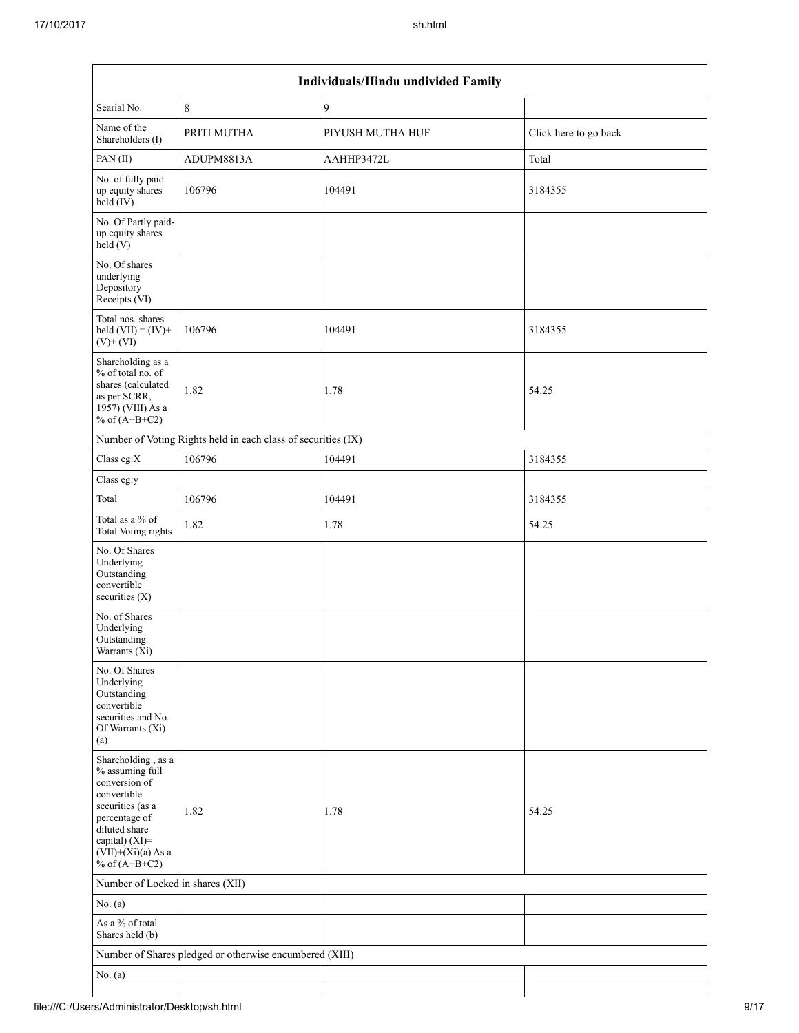| Individuals/Hindu undivided Family                                                                                                                                                       |                                                               |                  |                       |  |  |  |
|------------------------------------------------------------------------------------------------------------------------------------------------------------------------------------------|---------------------------------------------------------------|------------------|-----------------------|--|--|--|
| Searial No.                                                                                                                                                                              | 8                                                             | $\mathfrak{g}$   |                       |  |  |  |
| Name of the<br>Shareholders (I)                                                                                                                                                          | PRITI MUTHA                                                   | PIYUSH MUTHA HUF | Click here to go back |  |  |  |
| PAN (II)                                                                                                                                                                                 | ADUPM8813A                                                    | AAHHP3472L       | Total                 |  |  |  |
| No. of fully paid<br>up equity shares<br>$held$ (IV)                                                                                                                                     | 106796                                                        | 104491           | 3184355               |  |  |  |
| No. Of Partly paid-<br>up equity shares<br>held(V)                                                                                                                                       |                                                               |                  |                       |  |  |  |
| No. Of shares<br>underlying<br>Depository<br>Receipts (VI)                                                                                                                               |                                                               |                  |                       |  |  |  |
| Total nos. shares<br>held $(VII) = (IV) +$<br>$(V)$ + $(VI)$                                                                                                                             | 106796                                                        | 104491           | 3184355               |  |  |  |
| Shareholding as a<br>% of total no. of<br>shares (calculated<br>as per SCRR,<br>1957) (VIII) As a<br>% of $(A+B+C2)$                                                                     | 1.82                                                          | 1.78             | 54.25                 |  |  |  |
|                                                                                                                                                                                          | Number of Voting Rights held in each class of securities (IX) |                  |                       |  |  |  |
| Class eg: $X$                                                                                                                                                                            | 106796                                                        | 104491           | 3184355               |  |  |  |
| Class eg:y                                                                                                                                                                               |                                                               |                  |                       |  |  |  |
| Total                                                                                                                                                                                    | 106796                                                        | 104491           | 3184355               |  |  |  |
| Total as a % of<br><b>Total Voting rights</b>                                                                                                                                            | 1.82                                                          | 1.78             | 54.25                 |  |  |  |
| No. Of Shares<br>Underlying<br>Outstanding<br>convertible<br>securities $(X)$                                                                                                            |                                                               |                  |                       |  |  |  |
| No. of Shares<br>Underlying<br>Outstanding<br>Warrants (Xi)                                                                                                                              |                                                               |                  |                       |  |  |  |
| No. Of Shares<br>Underlying<br>Outstanding<br>convertible<br>securities and No.<br>Of Warrants (Xi)<br>(a)                                                                               |                                                               |                  |                       |  |  |  |
| Shareholding, as a<br>% assuming full<br>conversion of<br>convertible<br>securities (as a<br>percentage of<br>diluted share<br>capital) (XI)=<br>$(VII)+(Xi)(a)$ As a<br>% of $(A+B+C2)$ | 1.82                                                          | 1.78             | 54.25                 |  |  |  |
| Number of Locked in shares (XII)                                                                                                                                                         |                                                               |                  |                       |  |  |  |
| No. (a)                                                                                                                                                                                  |                                                               |                  |                       |  |  |  |
| As a % of total<br>Shares held (b)                                                                                                                                                       |                                                               |                  |                       |  |  |  |
|                                                                                                                                                                                          | Number of Shares pledged or otherwise encumbered (XIII)       |                  |                       |  |  |  |
| No. $(a)$                                                                                                                                                                                |                                                               |                  |                       |  |  |  |
|                                                                                                                                                                                          |                                                               |                  |                       |  |  |  |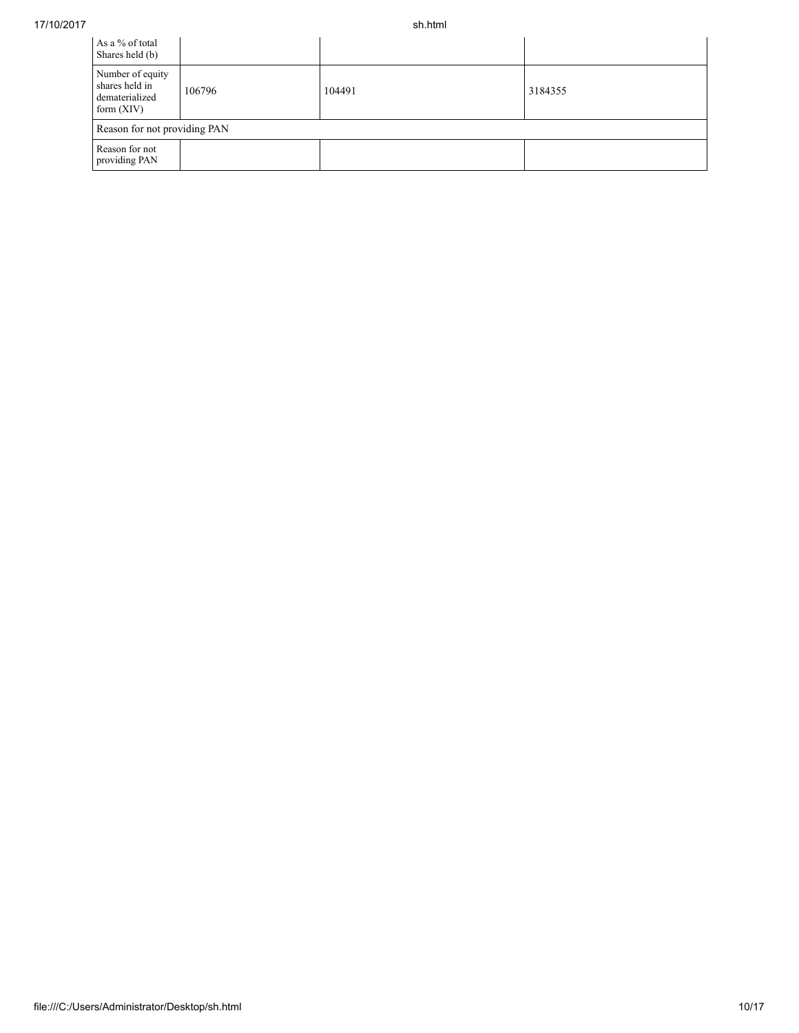| As a % of total<br>Shares held (b)                                   |                              |        |         |  |  |  |
|----------------------------------------------------------------------|------------------------------|--------|---------|--|--|--|
| Number of equity<br>shares held in<br>dematerialized<br>form $(XIV)$ | 106796                       | 104491 | 3184355 |  |  |  |
|                                                                      | Reason for not providing PAN |        |         |  |  |  |
| Reason for not<br>providing PAN                                      |                              |        |         |  |  |  |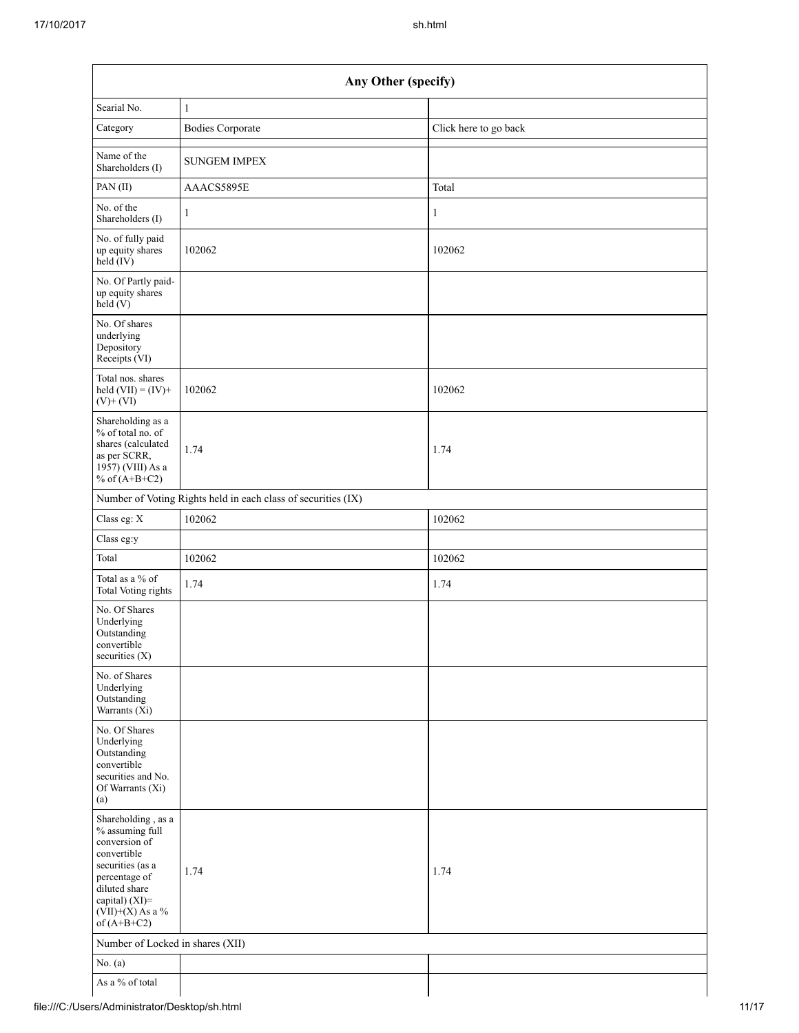| Any Other (specify)                                                                                                                                                                  |                                                               |                       |  |  |  |  |
|--------------------------------------------------------------------------------------------------------------------------------------------------------------------------------------|---------------------------------------------------------------|-----------------------|--|--|--|--|
| Searial No.                                                                                                                                                                          | $\mathbf{1}$                                                  |                       |  |  |  |  |
| Category                                                                                                                                                                             | <b>Bodies Corporate</b>                                       | Click here to go back |  |  |  |  |
| Name of the<br>Shareholders (I)                                                                                                                                                      | <b>SUNGEM IMPEX</b>                                           |                       |  |  |  |  |
| PAN(II)                                                                                                                                                                              | AAACS5895E                                                    | Total                 |  |  |  |  |
| No. of the<br>Shareholders (I)                                                                                                                                                       | $\mathbf{1}$                                                  | 1                     |  |  |  |  |
| No. of fully paid<br>up equity shares<br>$held$ (IV)                                                                                                                                 | 102062                                                        | 102062                |  |  |  |  |
| No. Of Partly paid-<br>up equity shares<br>held $(V)$                                                                                                                                |                                                               |                       |  |  |  |  |
| No. Of shares<br>underlying<br>Depository<br>Receipts (VI)                                                                                                                           |                                                               |                       |  |  |  |  |
| Total nos. shares<br>held $(VII) = (IV) +$<br>$(V)$ + $(VI)$                                                                                                                         | 102062                                                        | 102062                |  |  |  |  |
| Shareholding as a<br>% of total no. of<br>shares (calculated<br>as per SCRR,<br>$19\overline{57}$ ) (VIII) As a<br>% of $(A+B+C2)$                                                   | 1.74                                                          | 1.74                  |  |  |  |  |
|                                                                                                                                                                                      | Number of Voting Rights held in each class of securities (IX) |                       |  |  |  |  |
| Class eg: X                                                                                                                                                                          | 102062                                                        | 102062                |  |  |  |  |
| Class eg:y                                                                                                                                                                           |                                                               |                       |  |  |  |  |
| Total                                                                                                                                                                                | 102062                                                        | 102062                |  |  |  |  |
| Total as a % of<br><b>Total Voting rights</b>                                                                                                                                        | 1.74                                                          | 1.74                  |  |  |  |  |
| No. Of Shares<br>Underlying<br>Outstanding<br>convertible<br>securities $(X)$                                                                                                        |                                                               |                       |  |  |  |  |
| No. of Shares<br>Underlying<br>Outstanding<br>Warrants (Xi)                                                                                                                          |                                                               |                       |  |  |  |  |
| No. Of Shares<br>Underlying<br>Outstanding<br>convertible<br>securities and No.<br>Of Warrants (Xi)<br>(a)                                                                           |                                                               |                       |  |  |  |  |
| Shareholding, as a<br>% assuming full<br>conversion of<br>convertible<br>securities (as a<br>percentage of<br>diluted share<br>capital) (XI)=<br>$(VII)+(X)$ As a %<br>of $(A+B+C2)$ | 1.74                                                          | 1.74                  |  |  |  |  |
| Number of Locked in shares (XII)                                                                                                                                                     |                                                               |                       |  |  |  |  |
| No. $(a)$                                                                                                                                                                            |                                                               |                       |  |  |  |  |
| As a % of total                                                                                                                                                                      |                                                               |                       |  |  |  |  |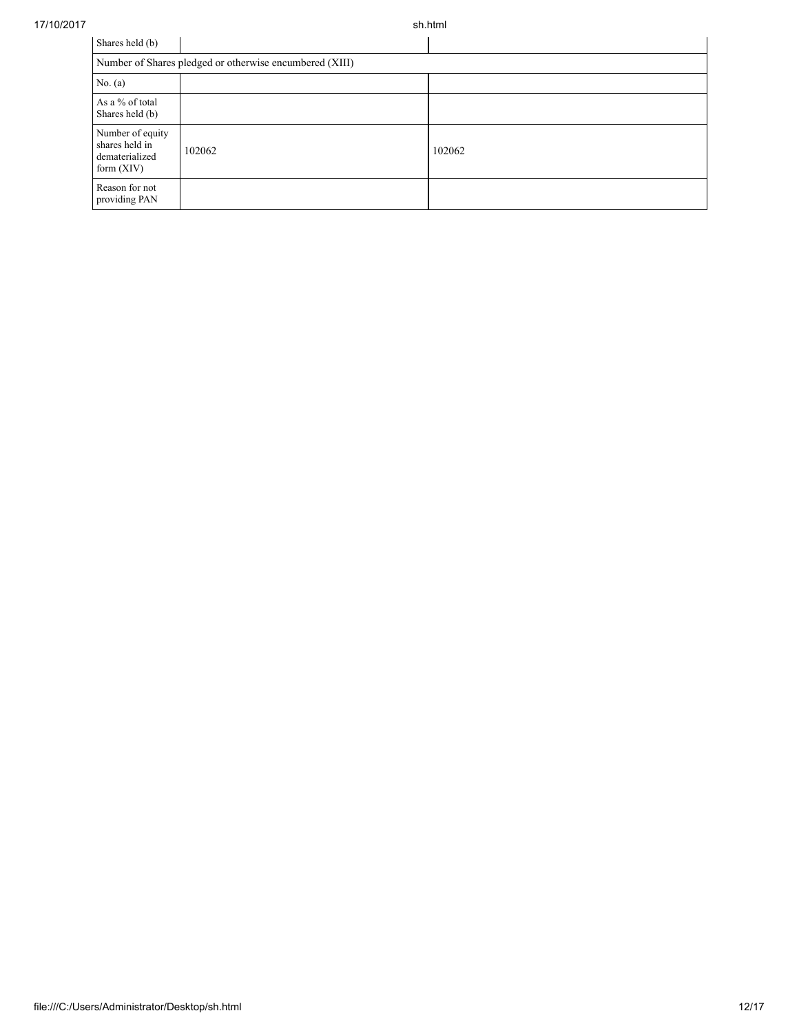17/10/2017 sh.html

| Shares held (b)                                                      |        |        |  |  |  |
|----------------------------------------------------------------------|--------|--------|--|--|--|
| Number of Shares pledged or otherwise encumbered (XIII)              |        |        |  |  |  |
| No. $(a)$                                                            |        |        |  |  |  |
| As a % of total<br>Shares held (b)                                   |        |        |  |  |  |
| Number of equity<br>shares held in<br>dematerialized<br>form $(XIV)$ | 102062 | 102062 |  |  |  |
| Reason for not<br>providing PAN                                      |        |        |  |  |  |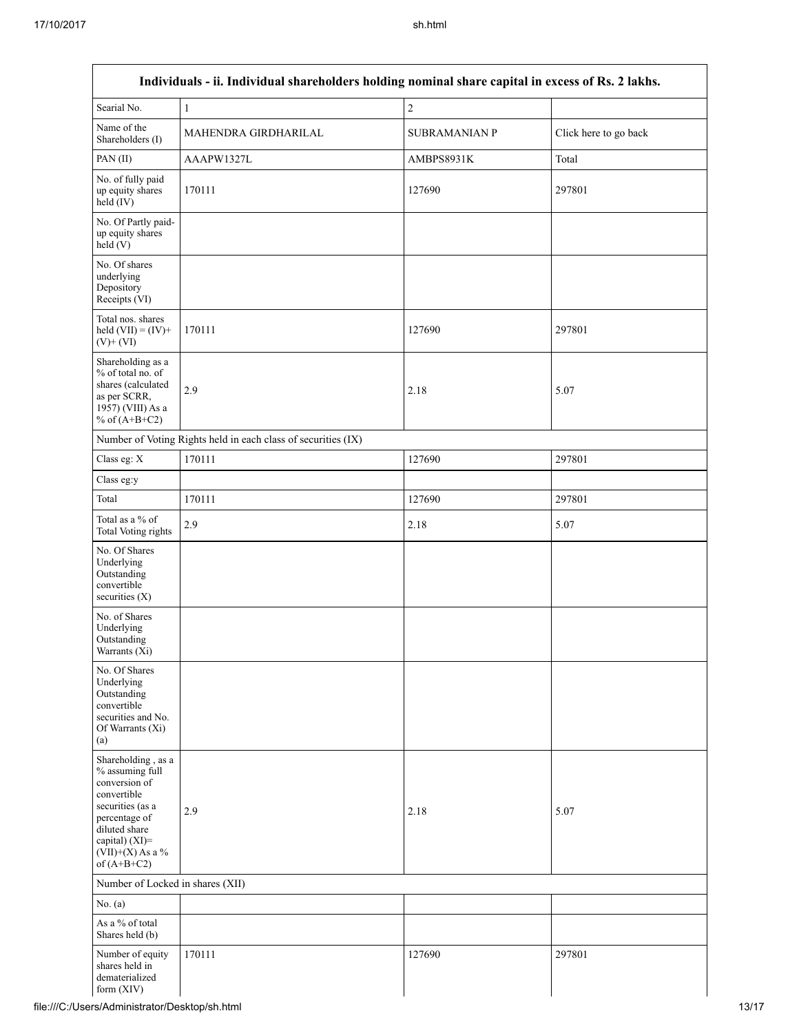Г

| Individuals - ii. Individual shareholders holding nominal share capital in excess of Rs. 2 lakhs.                                                                                    |                                                               |                      |                       |  |
|--------------------------------------------------------------------------------------------------------------------------------------------------------------------------------------|---------------------------------------------------------------|----------------------|-----------------------|--|
| Searial No.                                                                                                                                                                          | $\mathbf{1}$                                                  | $\overline{c}$       |                       |  |
| Name of the<br>Shareholders (I)                                                                                                                                                      | MAHENDRA GIRDHARILAL                                          | <b>SUBRAMANIAN P</b> | Click here to go back |  |
| PAN(II)                                                                                                                                                                              | AAAPW1327L                                                    | AMBPS8931K           | Total                 |  |
| No. of fully paid<br>up equity shares<br>held (IV)                                                                                                                                   | 170111                                                        | 127690               | 297801                |  |
| No. Of Partly paid-<br>up equity shares<br>held(V)                                                                                                                                   |                                                               |                      |                       |  |
| No. Of shares<br>underlying<br>Depository<br>Receipts (VI)                                                                                                                           |                                                               |                      |                       |  |
| Total nos. shares<br>held $(VII) = (IV) +$<br>$(V)$ + $(VI)$                                                                                                                         | 170111                                                        | 127690               | 297801                |  |
| Shareholding as a<br>% of total no. of<br>shares (calculated<br>as per SCRR,<br>1957) (VIII) As a<br>% of $(A+B+C2)$                                                                 | 2.9                                                           | 2.18                 | 5.07                  |  |
|                                                                                                                                                                                      | Number of Voting Rights held in each class of securities (IX) |                      |                       |  |
| Class eg: X                                                                                                                                                                          | 170111                                                        | 127690               | 297801                |  |
| Class eg:y                                                                                                                                                                           |                                                               |                      |                       |  |
| Total                                                                                                                                                                                | 170111                                                        | 127690               | 297801                |  |
| Total as a % of<br><b>Total Voting rights</b>                                                                                                                                        | 2.9                                                           | 2.18                 | 5.07                  |  |
| No. Of Shares<br>Underlying<br>Outstanding<br>convertible<br>securities (X)                                                                                                          |                                                               |                      |                       |  |
| No. of Shares<br>Underlying<br>Outstanding<br>Warrants (Xi)                                                                                                                          |                                                               |                      |                       |  |
| No. Of Shares<br>Underlying<br>Outstanding<br>convertible<br>securities and No.<br>Of Warrants (Xi)<br>(a)                                                                           |                                                               |                      |                       |  |
| Shareholding, as a<br>% assuming full<br>conversion of<br>convertible<br>securities (as a<br>percentage of<br>diluted share<br>capital) (XI)=<br>$(VII)+(X)$ As a %<br>of $(A+B+C2)$ | 2.9                                                           | 2.18                 | 5.07                  |  |
| Number of Locked in shares (XII)                                                                                                                                                     |                                                               |                      |                       |  |
| No. $(a)$                                                                                                                                                                            |                                                               |                      |                       |  |
| As a % of total<br>Shares held (b)                                                                                                                                                   |                                                               |                      |                       |  |
| Number of equity<br>shares held in<br>dematerialized<br>form $(XIV)$                                                                                                                 | 170111                                                        | 127690               | 297801                |  |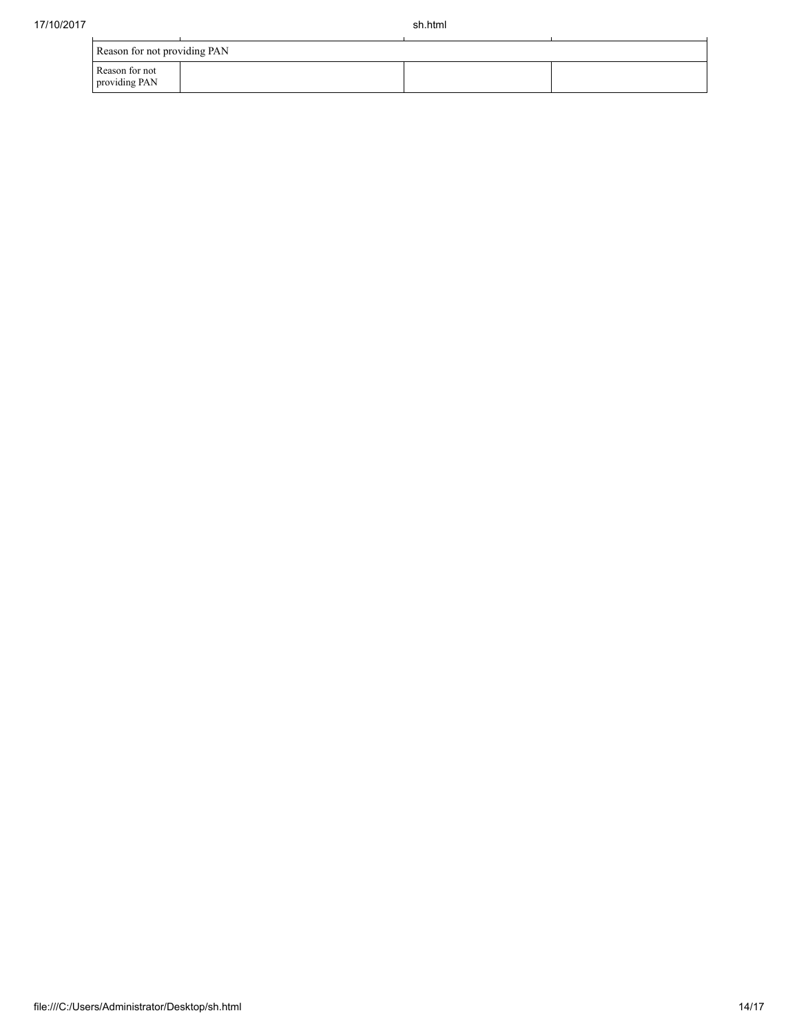| Reason for not providing PAN    |  |  |  |  |  |
|---------------------------------|--|--|--|--|--|
| Reason for not<br>providing PAN |  |  |  |  |  |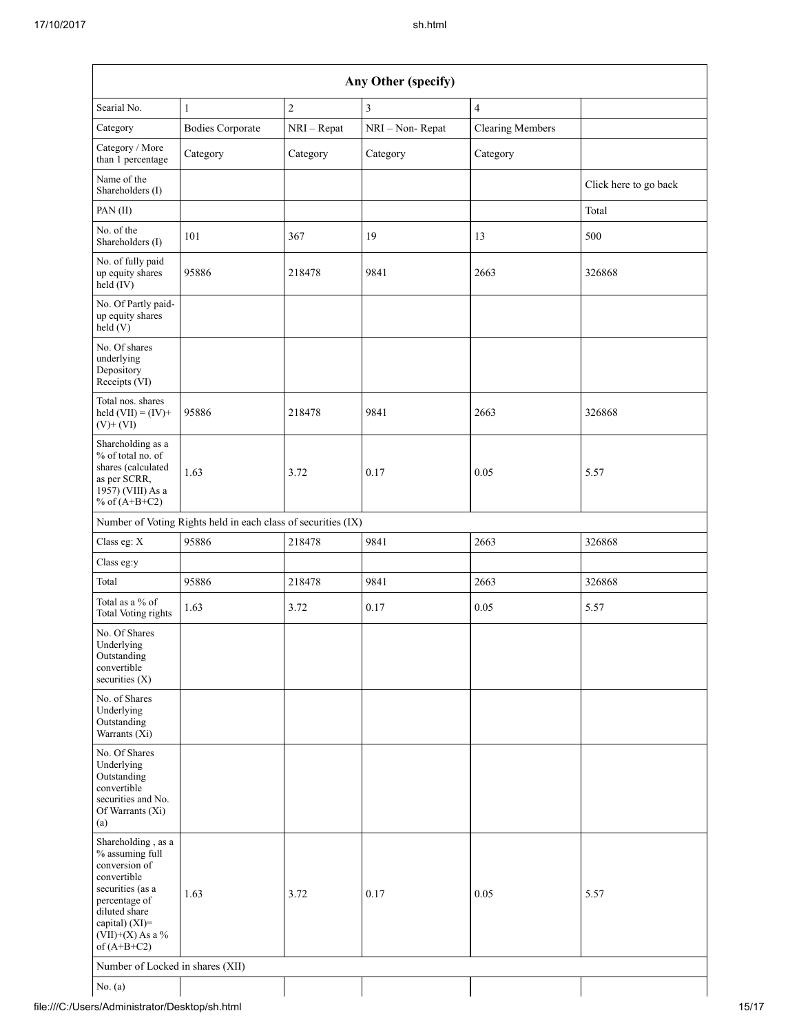| Any Other (specify)                                                                                                                                                                  |                                                               |                |                 |                         |                       |
|--------------------------------------------------------------------------------------------------------------------------------------------------------------------------------------|---------------------------------------------------------------|----------------|-----------------|-------------------------|-----------------------|
| Searial No.                                                                                                                                                                          | $\mathbf{1}$                                                  | $\overline{c}$ | 3               | $\overline{4}$          |                       |
| Category                                                                                                                                                                             | <b>Bodies Corporate</b>                                       | NRI - Repat    | NRI - Non-Repat | <b>Clearing Members</b> |                       |
| Category / More<br>than 1 percentage                                                                                                                                                 | Category                                                      | Category       | Category        | Category                |                       |
| Name of the<br>Shareholders (I)                                                                                                                                                      |                                                               |                |                 |                         | Click here to go back |
| PAN(II)                                                                                                                                                                              |                                                               |                |                 |                         | Total                 |
| No. of the<br>Shareholders (I)                                                                                                                                                       | 101                                                           | 367            | 19              | 13                      | 500                   |
| No. of fully paid<br>up equity shares<br>held (IV)                                                                                                                                   | 95886                                                         | 218478         | 9841            | 2663                    | 326868                |
| No. Of Partly paid-<br>up equity shares<br>held(V)                                                                                                                                   |                                                               |                |                 |                         |                       |
| No. Of shares<br>underlying<br>Depository<br>Receipts (VI)                                                                                                                           |                                                               |                |                 |                         |                       |
| Total nos. shares<br>held $(VII) = (IV) +$<br>$(V)$ + $(VI)$                                                                                                                         | 95886                                                         | 218478         | 9841            | 2663                    | 326868                |
| Shareholding as a<br>% of total no. of<br>shares (calculated<br>as per SCRR,<br>1957) (VIII) As a<br>% of $(A+B+C2)$                                                                 | 1.63                                                          | 3.72           | 0.17            | 0.05                    | 5.57                  |
|                                                                                                                                                                                      | Number of Voting Rights held in each class of securities (IX) |                |                 |                         |                       |
| Class eg: $\mathbf X$                                                                                                                                                                | 95886                                                         | 218478         | 9841            | 2663                    | 326868                |
| Class eg:y                                                                                                                                                                           |                                                               |                |                 |                         |                       |
| Total                                                                                                                                                                                | 95886                                                         | 218478         | 9841            | 2663                    | 326868                |
| Total as a % of<br>Total Voting rights                                                                                                                                               | 1.63                                                          | 3.72           | 0.17            | 0.05                    | 5.57                  |
| No. Of Shares<br>Underlying<br>Outstanding<br>convertible<br>securities $(X)$                                                                                                        |                                                               |                |                 |                         |                       |
| No. of Shares<br>Underlying<br>Outstanding<br>Warrants (Xi)                                                                                                                          |                                                               |                |                 |                         |                       |
| No. Of Shares<br>Underlying<br>Outstanding<br>convertible<br>securities and No.<br>Of Warrants (Xi)<br>(a)                                                                           |                                                               |                |                 |                         |                       |
| Shareholding, as a<br>% assuming full<br>conversion of<br>convertible<br>securities (as a<br>percentage of<br>diluted share<br>capital) (XI)=<br>$(VII)+(X)$ As a %<br>of $(A+B+C2)$ | 1.63                                                          | 3.72           | 0.17            | 0.05                    | 5.57                  |
| Number of Locked in shares (XII)                                                                                                                                                     |                                                               |                |                 |                         |                       |
| No. $(a)$                                                                                                                                                                            |                                                               |                |                 |                         |                       |

file:///C:/Users/Administrator/Desktop/sh.html 15/17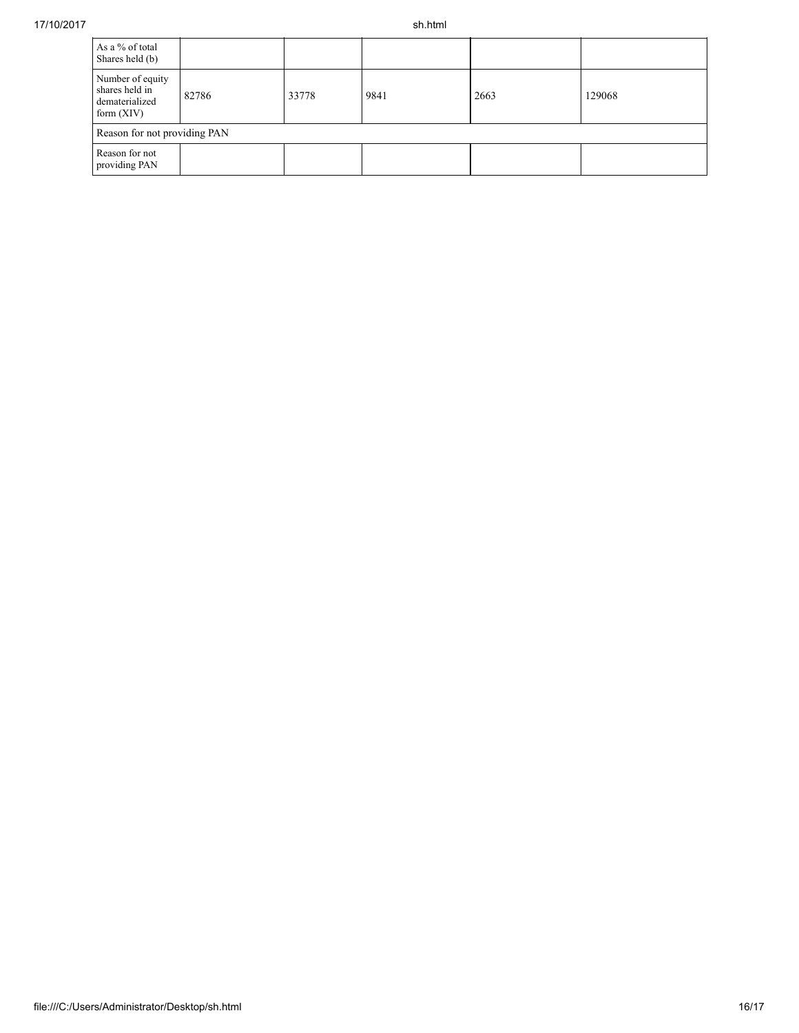| As a % of total<br>Shares held (b)                                   |       |       |      |      |        |
|----------------------------------------------------------------------|-------|-------|------|------|--------|
| Number of equity<br>shares held in<br>dematerialized<br>form $(XIV)$ | 82786 | 33778 | 9841 | 2663 | 129068 |
| Reason for not providing PAN                                         |       |       |      |      |        |
| Reason for not<br>providing PAN                                      |       |       |      |      |        |